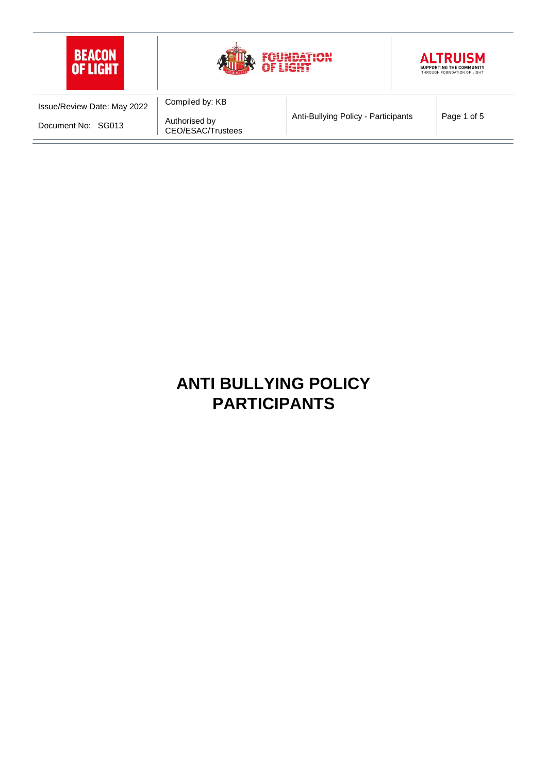

# **ANTI BULLYING POLICY PARTICIPANTS**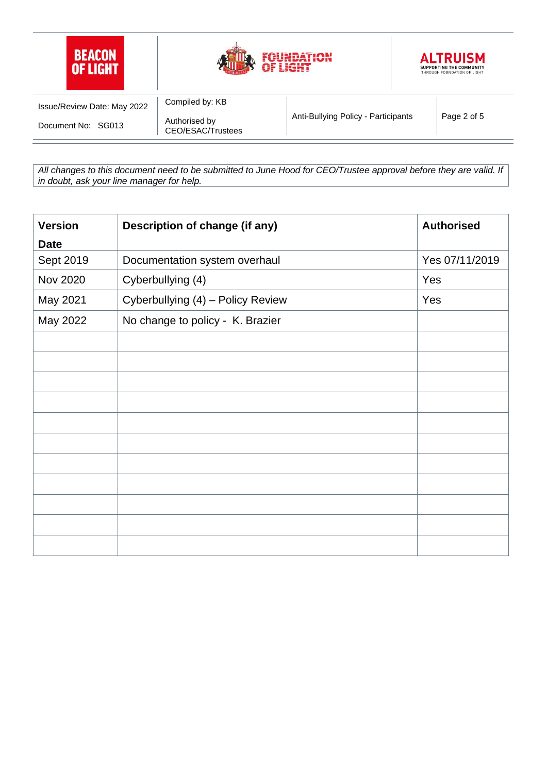

*All changes to this document need to be submitted to June Hood for CEO/Trustee approval before they are valid. If in doubt, ask your line manager for help.*

| <b>Version</b>  | Description of change (if any)    | <b>Authorised</b> |
|-----------------|-----------------------------------|-------------------|
| <b>Date</b>     |                                   |                   |
| Sept 2019       | Documentation system overhaul     | Yes 07/11/2019    |
| <b>Nov 2020</b> | Cyberbullying (4)                 | Yes               |
| May 2021        | Cyberbullying (4) - Policy Review | Yes               |
| May 2022        | No change to policy - K. Brazier  |                   |
|                 |                                   |                   |
|                 |                                   |                   |
|                 |                                   |                   |
|                 |                                   |                   |
|                 |                                   |                   |
|                 |                                   |                   |
|                 |                                   |                   |
|                 |                                   |                   |
|                 |                                   |                   |
|                 |                                   |                   |
|                 |                                   |                   |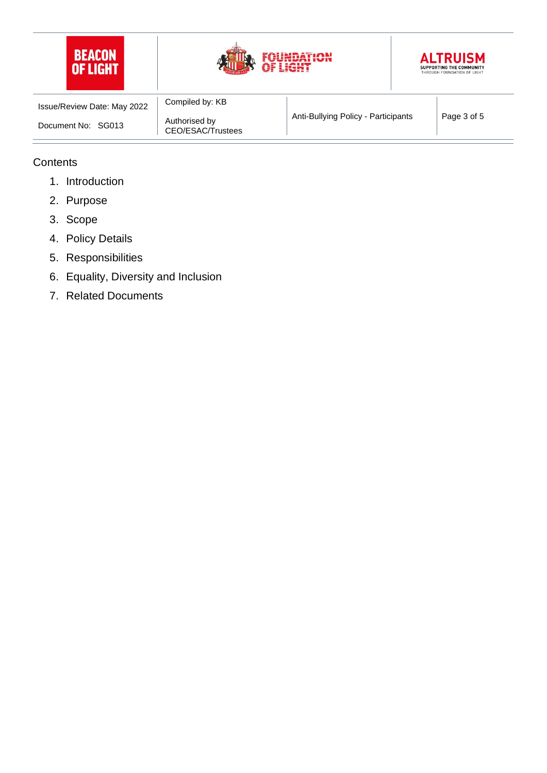





| Issue/Review Date: May 2022 | Compiled by: KB                    |                                     |             |
|-----------------------------|------------------------------------|-------------------------------------|-------------|
| Document No: SG013          | Authorised by<br>CEO/ESAC/Trustees | Anti-Bullying Policy - Participants | Page 3 of 5 |

#### **Contents**

- 1. Introduction
- 2. Purpose
- 3. Scope
- 4. Policy Details
- 5. Responsibilities
- 6. Equality, Diversity and Inclusion
- 7. Related Documents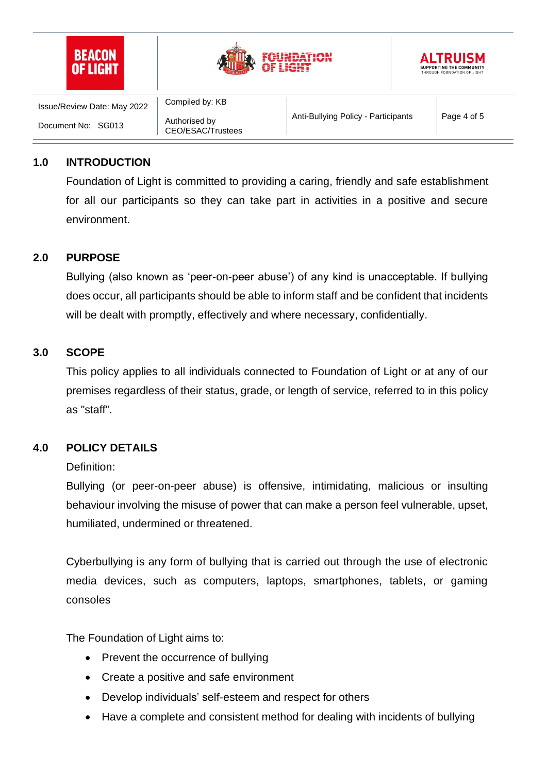





| Issue/Review Date: May 2022 | Compiled by: KB                    |                                     |             |
|-----------------------------|------------------------------------|-------------------------------------|-------------|
| Document No:<br>SG013       | Authorised by<br>CEO/ESAC/Trustees | Anti-Bullying Policy - Participants | Page 4 of 5 |

#### **1.0 INTRODUCTION**

Foundation of Light is committed to providing a caring, friendly and safe establishment for all our participants so they can take part in activities in a positive and secure environment.

#### **2.0 PURPOSE**

Bullying (also known as 'peer-on-peer abuse') of any kind is unacceptable. If bullying does occur, all participants should be able to inform staff and be confident that incidents will be dealt with promptly, effectively and where necessary, confidentially.

#### **3.0 SCOPE**

This policy applies to all individuals connected to Foundation of Light or at any of our premises regardless of their status, grade, or length of service, referred to in this policy as "staff".

#### **4.0 POLICY DETAILS**

#### Definition:

Bullying (or peer-on-peer abuse) is offensive, intimidating, malicious or insulting behaviour involving the misuse of power that can make a person feel vulnerable, upset, humiliated, undermined or threatened.

Cyberbullying is any form of bullying that is carried out through the use of electronic media devices, such as computers, laptops, smartphones, tablets, or gaming consoles

The Foundation of Light aims to:

- Prevent the occurrence of bullying
- Create a positive and safe environment
- Develop individuals' self-esteem and respect for others
- Have a complete and consistent method for dealing with incidents of bullying